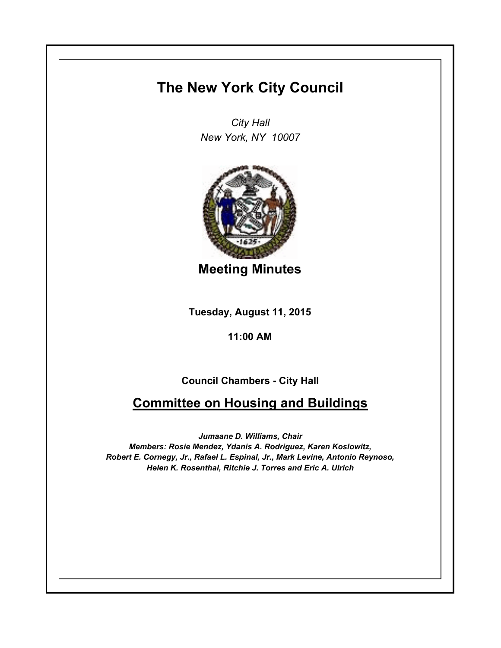## **The New York City Council**

*City Hall New York, NY 10007*



**Meeting Minutes**

**Tuesday, August 11, 2015**

**11:00 AM**

**Council Chambers - City Hall**

## **Committee on Housing and Buildings**

*Jumaane D. Williams, Chair Members: Rosie Mendez, Ydanis A. Rodriguez, Karen Koslowitz, Robert E. Cornegy, Jr., Rafael L. Espinal, Jr., Mark Levine, Antonio Reynoso, Helen K. Rosenthal, Ritchie J. Torres and Eric A. Ulrich*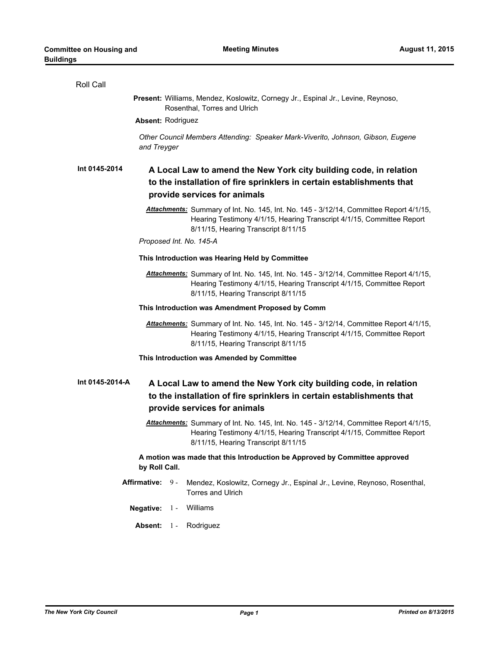| Roll Call                                                                                                                                                                                              |  |  |
|--------------------------------------------------------------------------------------------------------------------------------------------------------------------------------------------------------|--|--|
| Present: Williams, Mendez, Koslowitz, Cornegy Jr., Espinal Jr., Levine, Reynoso,<br>Rosenthal, Torres and Ulrich                                                                                       |  |  |
| <b>Absent: Rodriguez</b>                                                                                                                                                                               |  |  |
| Other Council Members Attending: Speaker Mark-Viverito, Johnson, Gibson, Eugene<br>and Treyger                                                                                                         |  |  |
| Int 0145-2014<br>A Local Law to amend the New York city building code, in relation<br>to the installation of fire sprinklers in certain establishments that<br>provide services for animals            |  |  |
| Attachments: Summary of Int. No. 145, Int. No. 145 - 3/12/14, Committee Report 4/1/15,<br>Hearing Testimony 4/1/15, Hearing Transcript 4/1/15, Committee Report<br>8/11/15, Hearing Transcript 8/11/15 |  |  |
| Proposed Int. No. 145-A                                                                                                                                                                                |  |  |
| This Introduction was Hearing Held by Committee                                                                                                                                                        |  |  |
| Attachments: Summary of Int. No. 145, Int. No. 145 - 3/12/14, Committee Report 4/1/15,<br>Hearing Testimony 4/1/15, Hearing Transcript 4/1/15, Committee Report<br>8/11/15, Hearing Transcript 8/11/15 |  |  |
| This Introduction was Amendment Proposed by Comm                                                                                                                                                       |  |  |
| Attachments: Summary of Int. No. 145, Int. No. 145 - 3/12/14, Committee Report 4/1/15,<br>Hearing Testimony 4/1/15, Hearing Transcript 4/1/15, Committee Report<br>8/11/15, Hearing Transcript 8/11/15 |  |  |
| This Introduction was Amended by Committee                                                                                                                                                             |  |  |
| Int 0145-2014-A<br>A Local Law to amend the New York city building code, in relation<br>to the installation of fire sprinklers in certain establishments that<br>provide services for animals          |  |  |
| Attachments: Summary of Int. No. 145, Int. No. 145 - 3/12/14, Committee Report 4/1/15,<br>Hearing Testimony 4/1/15, Hearing Transcript 4/1/15, Committee Report<br>8/11/15, Hearing Transcript 8/11/15 |  |  |
| A motion was made that this Introduction be Approved by Committee approved<br>by Roll Call.                                                                                                            |  |  |
| Affirmative: 9 -<br>Mendez, Koslowitz, Cornegy Jr., Espinal Jr., Levine, Reynoso, Rosenthal,<br>Torres and Ulrich                                                                                      |  |  |
| Negative: 1 - Williams                                                                                                                                                                                 |  |  |
| Rodriguez<br>Absent: 1 -                                                                                                                                                                               |  |  |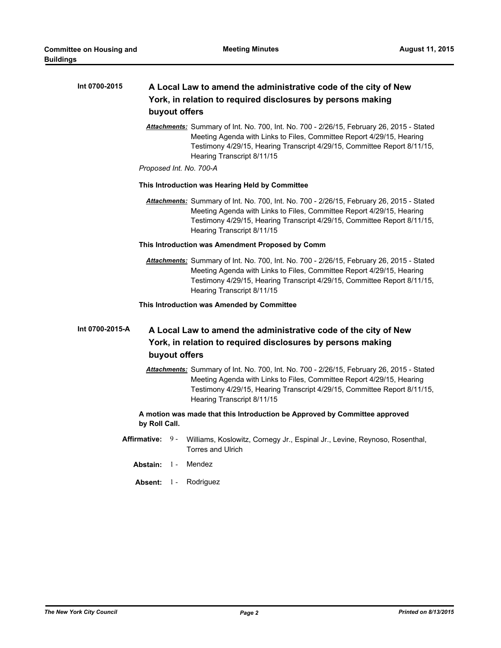| Int 0700-2015   | A Local Law to amend the administrative code of the city of New<br>York, in relation to required disclosures by persons making<br>buyout offers                                                                                                                             |
|-----------------|-----------------------------------------------------------------------------------------------------------------------------------------------------------------------------------------------------------------------------------------------------------------------------|
|                 | Attachments: Summary of Int. No. 700, Int. No. 700 - 2/26/15, February 26, 2015 - Stated<br>Meeting Agenda with Links to Files, Committee Report 4/29/15, Hearing<br>Testimony 4/29/15, Hearing Transcript 4/29/15, Committee Report 8/11/15,<br>Hearing Transcript 8/11/15 |
|                 | Proposed Int. No. 700-A                                                                                                                                                                                                                                                     |
|                 | This Introduction was Hearing Held by Committee                                                                                                                                                                                                                             |
|                 | Attachments: Summary of Int. No. 700, Int. No. 700 - 2/26/15, February 26, 2015 - Stated<br>Meeting Agenda with Links to Files, Committee Report 4/29/15, Hearing<br>Testimony 4/29/15, Hearing Transcript 4/29/15, Committee Report 8/11/15,<br>Hearing Transcript 8/11/15 |
|                 | This Introduction was Amendment Proposed by Comm                                                                                                                                                                                                                            |
|                 | Attachments: Summary of Int. No. 700, Int. No. 700 - 2/26/15, February 26, 2015 - Stated<br>Meeting Agenda with Links to Files, Committee Report 4/29/15, Hearing<br>Testimony 4/29/15, Hearing Transcript 4/29/15, Committee Report 8/11/15,<br>Hearing Transcript 8/11/15 |
|                 | This Introduction was Amended by Committee                                                                                                                                                                                                                                  |
| Int 0700-2015-A | A Local Law to amend the administrative code of the city of New<br>York, in relation to required disclosures by persons making<br>buyout offers                                                                                                                             |
|                 | Attachments: Summary of Int. No. 700, Int. No. 700 - 2/26/15, February 26, 2015 - Stated<br>Meeting Agenda with Links to Files, Committee Report 4/29/15, Hearing<br>Testimony 4/29/15, Hearing Transcript 4/29/15, Committee Report 8/11/15,<br>Hearing Transcript 8/11/15 |
|                 | A motion was made that this Introduction be Approved by Committee approved<br>by Roll Call.                                                                                                                                                                                 |
|                 | Affirmative: 9-<br>Williams, Koslowitz, Cornegy Jr., Espinal Jr., Levine, Reynoso, Rosenthal,<br><b>Torres and Ulrich</b>                                                                                                                                                   |
|                 | Mendez<br>Abstain: 1-                                                                                                                                                                                                                                                       |
|                 | Absent: 1 -<br>Rodriguez                                                                                                                                                                                                                                                    |